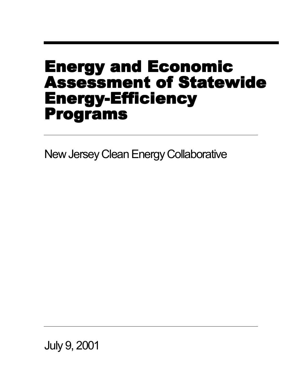# Energy and Economic Assessment of Statewide Energy-Efficiency Programs

New Jersey Clean Energy Collaborative

July 9, 2001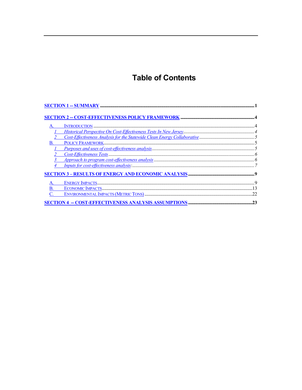# **Table of Contents**

| B |                                                     |    |
|---|-----------------------------------------------------|----|
|   |                                                     |    |
|   |                                                     |    |
|   |                                                     |    |
|   |                                                     |    |
|   |                                                     |    |
|   |                                                     |    |
|   |                                                     |    |
|   |                                                     |    |
|   | SECTION 4 - COST-EFFECTIVENESS ANALYSIS ASSUMPTIONS | 23 |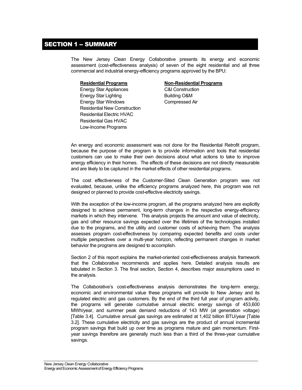### <span id="page-2-0"></span>**SECTION 1 - SUMMARY**

The New Jersey Clean Energy Collaborative presents its energy and economic assessment (cost-effectiveness analysis) of seven of the eight residential and all three commercial and industrial energy-efficiency programs approved by the BPU:

Energy Star Appliances C&I Construction Energy Star Lighting Building O&M Energy Star Windows Compressed Air Residential New Construction Residential Electric HVAC Residential Gas HVAC Low-Income Programs

#### **Residential Programs Non-Residential Programs**

An energy and economic assessment was not done for the Residential Retrofit program, because the purpose of the program is to provide information and tools that residential customers can use to make their own decisions about what actions to take to improve energy efficiency in their homes. The effects of these decisions are not directly measurable and are likely to be captured in the market effects of other residential programs.

The cost effectiveness of the Customer-Sited Clean Generation program was not evaluated, because, unlike the efficiency programs analyzed here, this program was not designed or planned to provide cost-effective electricity savings.

With the exception of the low-income program, all the programs analyzed here are explicitly designed to achieve permanent, long-term changes in the respective energy-efficiency markets in which they intervene. This analysis projects the amount and value of electricity, gas and other resource savings expected over the lifetimes of the technologies installed due to the programs, and the utility and customer costs of achieving them. The analysis assesses program cost-effectiveness by comparing expected benefits and costs under multiple perspectives over a multi-year horizon, reflecting permanent changes in market behavior the programs are designed to accomplish.

Section 2 of this report explains the market-oriented cost-effectiveness analysis framework that the Collaborative recommends and applies here. Detailed analysis results are tabulated in Section 3. The final section, Section 4, describes major assumptions used in the analysis.

The Collaborative's cost-effectiveness analysis demonstrates the long-term energy, economic and environmental value these programs will provide to New Jersey and its regulated electric and gas customers. By the end of the third full year of program activity, the programs will generate cumulative annual electric energy savings of 453,600 MWh/year, and summer peak demand reductions of 143 MW (at generation voltage) [Table 3.4]. Cumulative annual gas savings are estimated at 1,402 billion BTU/year [Table 3.2]. These cumulative electricity and gas savings are the product of annual incremental program savings that build up over time as programs mature and gain momentum. Firstyear savings therefore are generally much less than a third of the three-year cumulative savings.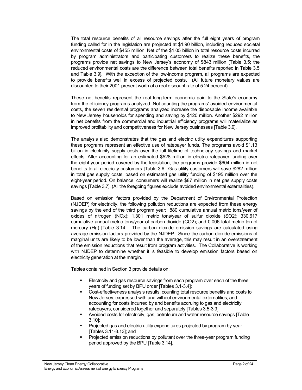The total resource benefits of all resource savings after the full eight years of program funding called for in the legislation are projected at \$1.90 billion, including reduced societal environmental costs of \$455 million. Net of the \$1.05 billion in total resource costs incurred by program administrators and participating customers to realize these benefits, the programs provide net savings to New Jersey's economy of \$843 million [Table 3.5; the reduced environmental costs are the difference between total benefits reported in Table 3.5 and Table 3.9]. With the exception of the low-income program, all programs are expected to provide benefits well in excess of projected costs. (All future monetary values are discounted to their 2001 present worth at a real discount rate of 5.24 percent)

These net benefits represent the real long-term economic gain to the State's economy from the efficiency programs analyzed. Not counting the programs' avoided environmental costs, the seven residential programs analyzed increase the disposable income available to New Jersey households for spending and saving by \$120 million. Another \$292 million in net benefits from the commercial and industrial efficiency programs will materialize as improved profitability and competitiveness for New Jersey businesses [Table 3.9].

The analysis also demonstrates that the gas and electric utility expenditures supporting these programs represent an effective use of ratepayer funds. The programs avoid \$1.13 billion in electricity supply costs over the full lifetime of technology savings and market effects. After accounting for an estimated \$528 million in electric ratepayer funding over the eight-year period covered by the legislation, the programs provide \$604 million in net benefits to all electricity customers [Table 3.6]. Gas utility customers will save \$282 million in total gas supply costs, based on estimated gas utility funding of \$195 million over the eight-year period. On balance, consumers will realize \$87 million in net gas supply costs savings [Table 3.7]. (All the foregoing figures exclude avoided environmental externalities).

Based on emission factors provided by the Department of Environmental Protection (NJDEP) for electricity, the following pollution reductions are expected from these energy savings by the end of the third program year: 880 cumulative annual metric tons/year of oxides of nitrogen (NOx): 1,301 metric tons/year of sulfur dioxide (SO2); 330,617 cumulative annual metric tons/year of carbon dioxide (CO2); and 0.006 total metric ton of mercury (Hg) [Table 3.14]. The carbon dioxide emission savings are calculated using average emission factors provided by the NJDEP. Since the carbon dioxide emissions of marginal units are likely to be lower than the average, this may result in an overstatement of the emission reductions that result from program activities. The Collaborative is working with NJDEP to determine whether it is feasible to develop emission factors based on electricity generation at the margin.

Tables contained in Section 3 provide details on:

- ß Electricity and gas resource savings from each program over each of the three years of funding set by BPU order [Tables 3.1-3.4];
- ß Cost-effectiveness analysis results, counting total resource benefits and costs to New Jersey, expressed with and without environmental externalities, and accounting for costs incurred by and benefits accruing to gas and electricity ratepayers, considered together and separately [Tables 3.5-3.9];
- ß Avoided costs for electricity, gas, petroleum and water resource savings [Table 3.10];
- ß Projected gas and electric utility expenditures projected by program by year [Tables 3.11-3.13]; and
- ß Projected emission reductions by pollutant over the three-year program funding period approved by the BPU [Table 3.14].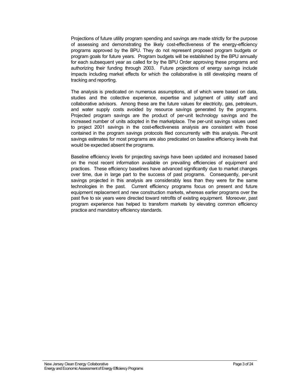Projections of future utility program spending and savings are made strictly for the purpose of assessing and demonstrating the likely cost-effectiveness of the energy-efficiency programs approved by the BPU. They do not represent proposed program budgets or program goals for future years. Program budgets will be established by the BPU annually for each subsequent year as called for by the BPU Order approving these programs and authorizing their funding through 2003. Future projections of energy savings include impacts including market effects for which the collaborative is still developing means of tracking and reporting.

The analysis is predicated on numerous assumptions, all of which were based on data, studies and the collective experience, expertise and judgment of utility staff and collaborative advisors. Among these are the future values for electricity, gas, petroleum, and water supply costs avoided by resource savings generated by the programs. Projected program savings are the product of per-unit technology savings and the increased number of units adopted in the marketplace. The per-unit savings values used to project 2001 savings in the cost-effectiveness analysis are consistent with those contained in the program savings protocols filed concurrently with this analysis. Per-unit savings estimates for most programs are also predicated on baseline efficiency levels that would be expected absent the programs.

Baseline efficiency levels for projecting savings have been updated and increased based on the most recent information available on prevailing efficiencies of equipment and practices. These efficiency baselines have advanced significantly due to market changes over time, due in large part to the success of past programs. Consequently, per-unit savings projected in this analysis are considerably less than they were for the same technologies in the past. Current efficiency programs focus on present and future equipment replacement and new construction markets, whereas earlier programs over the past five to six years were directed toward retrofits of existing equipment. Moreover, past program experience has helped to transform markets by elevating common efficiency practice and mandatory efficiency standards.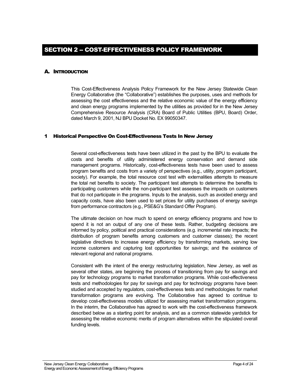#### <span id="page-5-0"></span>A. INTRODUCTION

This Cost-Effectiveness Analysis Policy Framework for the New Jersey Statewide Clean Energy Collaborative (the "Collaborative") establishes the purposes, uses and methods for assessing the cost effectiveness and the relative economic value of the energy efficiency and clean energy programs implemented by the utilities as provided for in the New Jersey Comprehensive Resource Analysis (CRA) Board of Public Utilities (BPU, Board) Order, dated March 9, 2001, NJ BPU Docket No. EX 99050347.

#### 1 Historical Perspective On Cost-Effectiveness Tests In New Jersey

Several cost-effectiveness tests have been utilized in the past by the BPU to evaluate the costs and benefits of utility administered energy conservation and demand side management programs. Historically, cost-effectiveness tests have been used to assess program benefits and costs from a variety of perspectives (e.g., utility, program participant, society). For example, the total resource cost test with externalities attempts to measure the total net benefits to society. The participant test attempts to determine the benefits to participating customers while the non-participant test assesses the impacts on customers that do not participate in the programs. Inputs to the analysis, such as avoided energy and capacity costs, have also been used to set prices for utility purchases of energy savings from performance contractors (e.g., PSE&G's Standard Offer Program).

The ultimate decision on how much to spend on energy efficiency programs and how to spend it is not an output of any one of these tests. Rather, budgeting decisions are informed by policy, political and practical considerations (e.g. incremental rate impacts; the distribution of program benefits among customers and customer classes); the recent legislative directives to increase energy efficiency by transforming markets, serving low income customers and capturing lost opportunities for savings; and the existence of relevant regional and national programs.

Consistent with the intent of the energy restructuring legislation, New Jersey, as well as several other states, are beginning the process of transitioning from pay for savings and pay for technology programs to market transformation programs. While cost-effectiveness tests and methodologies for pay for savings and pay for technology programs have been studied and accepted by regulators, cost-effectiveness tests and methodologies for market transformation programs are evolving. The Collaborative has agreed to continue to develop cost-effectiveness models utilized for assessing market transformation programs. In the interim, the Collaborative has agreed to work with the cost-effectiveness framework described below as a starting point for analysis, and as a common statewide yardstick for assessing the relative economic merits of program alternatives within the stipulated overall funding levels.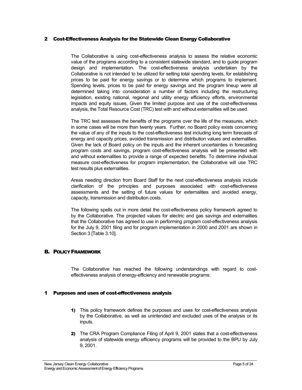#### <span id="page-6-0"></span>2 Cost-Effectiveness Analysis for the Statewide Clean Energy Collaborative

The Collaborative is using cost-effectiveness analysis to assess the relative economic value of the programs according to a consistent statewide standard, and to guide program design and implementation. The cost-effectiveness analysis undertaken by the Collaborative is not intended to be utilized for setting total spending levels, for establishing prices to be paid for energy savings or to determine which programs to implement. Spending levels, prices to be paid for energy savings and the program lineup were all determined taking into consideration a number of factors including the restructuring legislation, existing national, regional and utility energy efficiency efforts, environmental impacts and equity issues. Given the limited purpose and use of the cost-effectiveness analysis, the Total Resource Cost (TRC) test with and without externalities will be used.

The TRC test assesses the benefits of the programs over the life of the measures, which in some cases will be more than twenty years. Further, no Board policy exists concerning the value of any of the inputs to the cost-effectiveness test including long term forecasts of energy and capacity prices, avoided transmission and distribution values and externalities. Given the lack of Board policy on the inputs and the inherent uncertainties in forecasting program costs and savings, program cost-effectiveness analysis will be presented with and without externalities to provide a range of expected benefits. To determine individual measure cost-effectiveness for program implementation, the Collaborative will use TRC test results plus externalities.

Areas needing direction from Board Staff for the next cost-effectiveness analysis include clarification of the principles and purposes associated with cost-effectiveness assessments and the setting of future values for externalities and avoided energy, capacity, transmission and distribution costs.

The following spells out in more detail the cost-effectiveness policy framework agreed to by the Collaborative. The projected values for electric and gas savings and externalities that the Collaborative has agreed to use in performing program cost-effectiveness analysis for the July 9, 2001 filing and for program implementation in 2000 and 2001 are shown in Section 3 [Table 3.10].

#### B. POLICY FRAMEWORK

The Collaborative has reached the following understandings with regard to costeffectiveness analysis of energy-efficiency and renewable programs:

#### 1 Purposes and uses of cost-effectiveness analysis

- 1) This policy framework defines the purposes and uses for cost-effectiveness analysis by the Collaborative, as well as unintended and excluded uses of the analysis or its inputs.
- 2) The CRA Program Compliance Filing of April 9, 2001 states that a cost-effectiveness analysis of statewide energy efficiency programs will be provided to the BPU by July 9, 2001.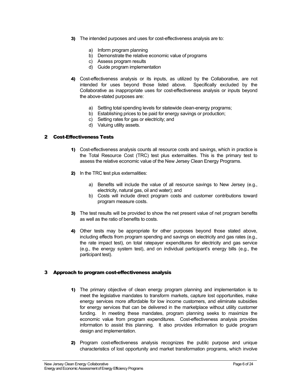- <span id="page-7-0"></span>3) The intended purposes and uses for cost-effectiveness analysis are to:
	- a) Inform program planning
	- b) Demonstrate the relative economic value of programs
	- c) Assess program results
	- d) Guide program implementation
- 4) Cost-effectiveness analysis or its inputs, as utilized by the Collaborative, are not intended for uses beyond those listed above. Specifically excluded by the Collaborative as inappropriate uses for cost-effectiveness analysis or inputs beyond the above-stated purposes are:
	- a) Setting total spending levels for statewide clean-energy programs;
	- b) Establishing prices to be paid for energy savings or production;
	- c) Setting rates for gas or electricity; and
	- d) Valuing utility assets.

#### 2 Cost-Effectiveness Tests

- 1) Cost-effectiveness analysis counts all resource costs and savings, which in practice is the Total Resource Cost (TRC) test plus externalities. This is the primary test to assess the relative economic value of the New Jersey Clean Energy Programs.
- 2) In the TRC test plus externalities:
	- a) Benefits will include the value of all resource savings to New Jersey (e.g., electricity, natural gas, oil and water); and
	- b) Costs will include direct program costs and customer contributions toward program measure costs.
- 3) The test results will be provided to show the net present value of net program benefits as well as the ratio of benefits to costs.
- 4) Other tests may be appropriate for other purposes beyond those stated above, including effects from program spending and savings on electricity and gas rates (e.g., the rate impact test), on total ratepayer expenditures for electricity and gas service (e.g., the energy system test), and on individual participant's energy bills (e.g., the participant test).

#### 3 Approach to program cost-effectiveness analysis

- 1) The primary objective of clean energy program planning and implementation is to meet the legislative mandates to transform markets, capture lost opportunities, make energy services more affordable for low income customers, and eliminate subsidies for energy services that can be delivered in the marketplace without utility customer funding. In meeting these mandates, program planning seeks to maximize the economic value from program expenditures. Cost-effectiveness analysis provides information to assist this planning. It also provides information to guide program design and implementation.
- 2) Program cost-effectiveness analysis recognizes the public purpose and unique characteristics of lost opportunity and market transformation programs, which involve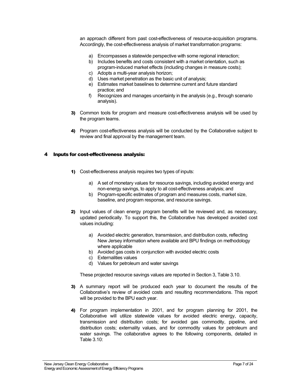<span id="page-8-0"></span>an approach different from past cost-effectiveness of resource-acquisition programs. Accordingly, the cost-effectiveness analysis of market transformation programs:

- a) Encompasses a statewide perspective with some regional interaction;
- b) Includes benefits and costs consistent with a market orientation, such as program-induced market effects (including changes in measure costs);
- c) Adopts a multi-year analysis horizon;
- d) Uses market penetration as the basic unit of analysis;
- e) Estimates market baselines to determine current and future standard practice; and
- f) Recognizes and manages uncertainty in the analysis (e.g., through scenario analysis).
- 3) Common tools for program and measure cost-effectiveness analysis will be used by the program teams.
- 4) Program cost-effectiveness analysis will be conducted by the Collaborative subject to review and final approval by the management team.

#### 4 Inputs for cost-effectiveness analysis:

- 1) Cost-effectiveness analysis requires two types of inputs:
	- a) A set of monetary values for resource savings, including avoided energy and non-energy savings, to apply to all cost-effectiveness analysis; and
	- b) Program-specific estimates of program and measures costs, market size, baseline, and program response, and resource savings.
- 2) Input values of clean energy program benefits will be reviewed and, as necessary, updated periodically. To support this, the Collaborative has developed avoided cost values including:
	- a) Avoided electric generation, transmission, and distribution costs, reflecting New Jersey information where available and BPU findings on methodology where applicable
	- b) Avoided gas costs in conjunction with avoided electric costs
	- c) Externalities values
	- d) Values for petroleum and water savings

These projected resource savings values are reported in Section 3, Table 3.10.

- 3) A summary report will be produced each year to document the results of the Collaborative's review of avoided costs and resulting recommendations. This report will be provided to the BPU each year.
- 4) For program implementation in 2001, and for program planning for 2001, the Collaborative will utilize statewide values for avoided electric energy, capacity, transmission and distribution costs; for avoided gas commodity, pipeline, and distribution costs; externality values, and for commodity values for petroleum and water savings. The collaborative agrees to the following components, detailed in Table 3.10: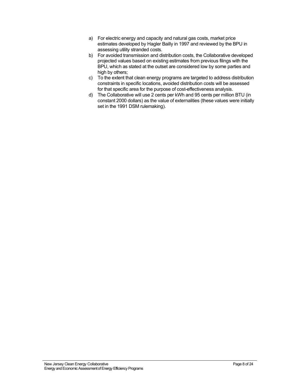- a) For electric energy and capacity and natural gas costs, market price estimates developed by Hagler Bailly in 1997 and reviewed by the BPU in assessing utility stranded costs.
- b) For avoided transmission and distribution costs, the Collaborative developed projected values based on existing estimates from previous filings with the BPU, which as stated at the outset are considered low by some parties and high by others;
- c) To the extent that clean energy programs are targeted to address distribution constraints in specific locations, avoided distribution costs will be assessed for that specific area for the purpose of cost-effectiveness analysis.
- d) The Collaborative will use 2 cents per kWh and 95 cents per million BTU (in constant 2000 dollars) as the value of externalities (these values were initially set in the 1991 DSM rulemaking).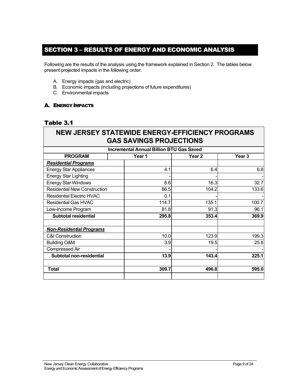# <span id="page-10-0"></span>SECTION 3 – RESULTS OF ENERGY AND ECONOMIC ANALYSIS

Following are the results of the analysis using the framework explained in Section 2. The tables below present projected impacts in the following order:

- A. Energy impacts (gas and electric)
- B. Economic impacts (including projections of future expenditures)
- C. Environmental impacts

#### A. ENERGY IMPACTS

### Table 3.1

# **NEW JERSEY STATEWIDE ENERGY-EFFICIENCY PROGRAMS GAS SAVINGS PROJECTIONS**

| <b>Incremental Annual Billion BTU Gas Saved</b> |        |        |                   |  |  |  |  |  |  |  |
|-------------------------------------------------|--------|--------|-------------------|--|--|--|--|--|--|--|
| <b>PROGRAM</b>                                  | Year 1 | Year 2 | Year <sub>3</sub> |  |  |  |  |  |  |  |
| <b>Residential Programs</b>                     |        |        |                   |  |  |  |  |  |  |  |
| <b>Energy Star Appliances</b>                   | 4.1    | 6.4    | 6.8               |  |  |  |  |  |  |  |
| <b>Energy Star Lighting</b>                     |        |        |                   |  |  |  |  |  |  |  |
| <b>Energy Star Windows</b>                      | 8.6    | 16.3   | 32.7              |  |  |  |  |  |  |  |
| <b>Residential New Construction</b>             | 86.5   | 104.2  | 133.6             |  |  |  |  |  |  |  |
| <b>Residential Electric HVAC</b>                | 0.1    |        |                   |  |  |  |  |  |  |  |
| <b>Residential Gas HVAC</b>                     | 114.7  | 135.1  | 100.7             |  |  |  |  |  |  |  |
| Low-Income Program                              | 81.8   | 91.3   | 96.1              |  |  |  |  |  |  |  |
| <b>Subtotal residential</b>                     | 295.8  | 353.4  | 369.9             |  |  |  |  |  |  |  |
| <b>Non-Residential Programs</b>                 |        |        |                   |  |  |  |  |  |  |  |
| <b>C&amp;I Construction</b>                     | 10.0   | 123.9  | 199.3             |  |  |  |  |  |  |  |
| <b>Building O&amp;M</b>                         | 3.9    | 19.5   | 25.8              |  |  |  |  |  |  |  |
| Compressed Air                                  |        |        |                   |  |  |  |  |  |  |  |
| <b>Subtotal non-residential</b>                 | 13.9   | 143.4  | 225.1             |  |  |  |  |  |  |  |
| Total                                           | 309.7  | 496.8  | 595.0             |  |  |  |  |  |  |  |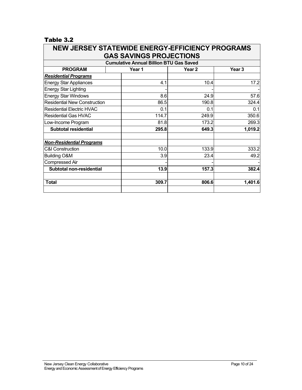| <b>NEW JERSEY STATEWIDE ENERGY-EFFICIENCY PROGRAMS</b> |  |        |                   |                   |  |  |  |  |  |  |  |  |
|--------------------------------------------------------|--|--------|-------------------|-------------------|--|--|--|--|--|--|--|--|
| <b>GAS SAVINGS PROJECTIONS</b>                         |  |        |                   |                   |  |  |  |  |  |  |  |  |
| <b>Cumulative Annual Billion BTU Gas Saved</b>         |  |        |                   |                   |  |  |  |  |  |  |  |  |
| <b>PROGRAM</b>                                         |  | Year 1 | Year <sub>2</sub> | Year <sub>3</sub> |  |  |  |  |  |  |  |  |
| <b>Residential Programs</b>                            |  |        |                   |                   |  |  |  |  |  |  |  |  |
| <b>Energy Star Appliances</b>                          |  | 4.1    | 10.4              | 17.2              |  |  |  |  |  |  |  |  |
| <b>Energy Star Lighting</b>                            |  |        |                   |                   |  |  |  |  |  |  |  |  |
| <b>Energy Star Windows</b>                             |  | 8.6    | 24.9              | 57.6              |  |  |  |  |  |  |  |  |
| <b>Residential New Construction</b>                    |  | 86.5   | 190.8             | 324.4             |  |  |  |  |  |  |  |  |
| <b>Residential Electric HVAC</b>                       |  | 0.1    | 0.1               | 0.1               |  |  |  |  |  |  |  |  |
| <b>Residential Gas HVAC</b>                            |  | 114.7  | 249.9             | 350.6             |  |  |  |  |  |  |  |  |
| Low-Income Program                                     |  | 81.8   | 173.2             | 269.3             |  |  |  |  |  |  |  |  |
| <b>Subtotal residential</b>                            |  | 295.8  | 649.3             | 1,019.2           |  |  |  |  |  |  |  |  |
| <b>Non-Residential Programs</b>                        |  |        |                   |                   |  |  |  |  |  |  |  |  |
| C&I Construction                                       |  | 10.0   | 133.9             | 333.2             |  |  |  |  |  |  |  |  |
| <b>Building O&amp;M</b>                                |  | 3.9    | 23.4              | 49.2              |  |  |  |  |  |  |  |  |
| <b>Compressed Air</b>                                  |  |        |                   |                   |  |  |  |  |  |  |  |  |
| <b>Subtotal non-residential</b>                        |  | 13.9   | 157.3             | 382.4             |  |  |  |  |  |  |  |  |
| Total                                                  |  | 309.7  | 806.6             | 1,401.6           |  |  |  |  |  |  |  |  |
|                                                        |  |        |                   |                   |  |  |  |  |  |  |  |  |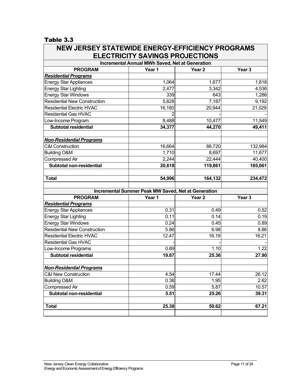| <b>NEW JERSEY STATEWIDE ENERGY-EFFICIENCY PROGRAMS</b> |                                                            |                   |                   |  |  |  |  |  |  |
|--------------------------------------------------------|------------------------------------------------------------|-------------------|-------------------|--|--|--|--|--|--|
|                                                        | <b>ELECTRICITY SAVINGS PROJECTIONS</b>                     |                   |                   |  |  |  |  |  |  |
|                                                        | <b>Incremental Annual MWh Saved, Net at Generation</b>     |                   |                   |  |  |  |  |  |  |
| <b>PROGRAM</b>                                         | Year 1                                                     | Year <sub>2</sub> | Year <sub>3</sub> |  |  |  |  |  |  |
| <b>Residential Programs</b>                            |                                                            |                   |                   |  |  |  |  |  |  |
| <b>Energy Star Appliances</b>                          | 1,064                                                      | 1,677             | 1,818             |  |  |  |  |  |  |
| <b>Energy Star Lighting</b>                            | 2,477                                                      | 3,342             | 4,536             |  |  |  |  |  |  |
| Energy Star Windows                                    | 339                                                        | 643               | 1,286             |  |  |  |  |  |  |
| <b>Residential New Construction</b>                    | 5,828                                                      | 7,187             | 9,192             |  |  |  |  |  |  |
| <b>Residential Electric HVAC</b>                       | 16,180                                                     | 20,944            | 21,029            |  |  |  |  |  |  |
| <b>Residential Gas HVAC</b>                            | $\overline{2}$                                             |                   |                   |  |  |  |  |  |  |
| Low-Income Program                                     | 8,488                                                      | 10,477            | 11,549            |  |  |  |  |  |  |
| <b>Subtotal residential</b>                            | 34,377                                                     | 44,270            | 49,411            |  |  |  |  |  |  |
| <b>Non-Residential Programs</b>                        |                                                            |                   |                   |  |  |  |  |  |  |
| <b>C&amp;I Construction</b>                            | 16,664                                                     | 88,720            | 132,984           |  |  |  |  |  |  |
| <b>Building O&amp;M</b>                                | 1,710                                                      | 8,697             | 11,677            |  |  |  |  |  |  |
| <b>Compressed Air</b>                                  | 2,244                                                      | 22,444            | 40,400            |  |  |  |  |  |  |
| <b>Subtotal non-residential</b>                        | 20,618                                                     | 119,861           | 185,061           |  |  |  |  |  |  |
| <b>Total</b>                                           | 54,996                                                     | 164,132           | 234,472           |  |  |  |  |  |  |
|                                                        | <b>Incremental Summer Peak MW Saved, Net at Generation</b> |                   |                   |  |  |  |  |  |  |
| <b>PROGRAM</b>                                         | Year 1                                                     | Year <sub>2</sub> | Year <sub>3</sub> |  |  |  |  |  |  |
| <b>Residential Programs</b>                            |                                                            |                   |                   |  |  |  |  |  |  |
| <b>Energy Star Appliances</b>                          | 0.31                                                       | 0.49              | 0.52              |  |  |  |  |  |  |
| <b>Energy Star Lighting</b>                            | 0.11                                                       | 0.14              | 0.19              |  |  |  |  |  |  |
| <b>Energy Star Windows</b>                             | 0.24                                                       | 0.45              | 0.89              |  |  |  |  |  |  |
| <b>Residential New Construction</b>                    | 5.86                                                       | 6.98              | 8.86              |  |  |  |  |  |  |
| <b>Residential Electric HVAC</b>                       | 12.47                                                      | 16.19             | 16.21             |  |  |  |  |  |  |
| <b>Residential Gas HVAC</b>                            |                                                            |                   |                   |  |  |  |  |  |  |
| Low-Income Programs                                    | 0.89                                                       | 1.10              | 1.22              |  |  |  |  |  |  |
| <b>Subtotal residential</b>                            | 19.87                                                      | 25.36             | 27.90             |  |  |  |  |  |  |
| <b>Non-Residential Programs</b>                        |                                                            |                   |                   |  |  |  |  |  |  |
| <b>C&amp;I New Construction</b>                        | 4.54                                                       | 17.44             | 26.12             |  |  |  |  |  |  |
| <b>Building O&amp;M</b>                                | 0.38                                                       | 1.95              | 2.62              |  |  |  |  |  |  |
| <b>Compressed Air</b>                                  | 0.59                                                       | 5.87              | 10.57             |  |  |  |  |  |  |
| Subtotal non-residential                               | 5.51                                                       | 25.26             | 39.31             |  |  |  |  |  |  |
| <b>Total</b>                                           | 25.38                                                      | 50.62             | 67.21             |  |  |  |  |  |  |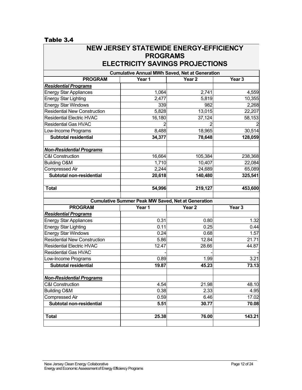#### Table 3.4  $\Gamma$

| <b>NEW JERSEY STATEWIDE ENERGY-EFFICIENCY</b><br><b>PROGRAMS</b>   |                                                           |                   |                   |  |  |  |  |  |  |  |  |
|--------------------------------------------------------------------|-----------------------------------------------------------|-------------------|-------------------|--|--|--|--|--|--|--|--|
| <b>ELECTRICITY SAVINGS PROJECTIONS</b>                             |                                                           |                   |                   |  |  |  |  |  |  |  |  |
| <b>Cumulative Annual MWh Saved, Net at Generation</b>              |                                                           |                   |                   |  |  |  |  |  |  |  |  |
| Year <sub>3</sub><br>Year 1<br>Year <sub>2</sub><br><b>PROGRAM</b> |                                                           |                   |                   |  |  |  |  |  |  |  |  |
| <b>Residential Programs</b>                                        |                                                           |                   |                   |  |  |  |  |  |  |  |  |
| <b>Energy Star Appliances</b>                                      | 1,064                                                     | 2,741             | 4,559             |  |  |  |  |  |  |  |  |
| <b>Energy Star Lighting</b>                                        | 2,477                                                     | 5,819             | 10,355            |  |  |  |  |  |  |  |  |
| <b>Energy Star Windows</b>                                         | 339                                                       | 982               | 2,268             |  |  |  |  |  |  |  |  |
| <b>Residential New Construction</b>                                | 5,828                                                     | 13,015            | 22,207            |  |  |  |  |  |  |  |  |
| <b>Residential Electric HVAC</b>                                   | 16,180                                                    | 37,124            | 58,153            |  |  |  |  |  |  |  |  |
| <b>Residential Gas HVAC</b>                                        |                                                           |                   |                   |  |  |  |  |  |  |  |  |
| Low-Income Programs                                                | 8,488                                                     | 18,965            | 30,514            |  |  |  |  |  |  |  |  |
| <b>Subtotal residential</b>                                        | 34,377                                                    | 78,648            | 128,059           |  |  |  |  |  |  |  |  |
| <b>Non-Residential Programs</b>                                    |                                                           |                   |                   |  |  |  |  |  |  |  |  |
| <b>C&amp;I Construction</b>                                        | 16,664                                                    | 105,384           | 238,368           |  |  |  |  |  |  |  |  |
| <b>Building O&amp;M</b>                                            | 1,710                                                     | 10,407            | 22,084            |  |  |  |  |  |  |  |  |
| <b>Compressed Air</b>                                              | 2,244                                                     | 24,689            | 65,089            |  |  |  |  |  |  |  |  |
| <b>Subtotal non-residential</b>                                    | 20,618                                                    | 140,480           | 325,541           |  |  |  |  |  |  |  |  |
| <b>Total</b>                                                       | 54,996                                                    | 219,127           | 453,600           |  |  |  |  |  |  |  |  |
|                                                                    | <b>Cumulative Summer Peak MW Saved, Net at Generation</b> |                   |                   |  |  |  |  |  |  |  |  |
| <b>PROGRAM</b>                                                     | Year 1                                                    | Year <sub>2</sub> | Year <sub>3</sub> |  |  |  |  |  |  |  |  |
| <b>Residential Programs</b>                                        |                                                           |                   |                   |  |  |  |  |  |  |  |  |
| <b>Energy Star Appliances</b>                                      | 0.31                                                      | 0.80              | 1.32              |  |  |  |  |  |  |  |  |
| <b>Energy Star Lighting</b>                                        | 0.11                                                      | 0.25              | 0.44              |  |  |  |  |  |  |  |  |
| <b>Energy Star Windows</b>                                         | 0.24                                                      | 0.68              | 1.57              |  |  |  |  |  |  |  |  |
| <b>Residential New Construction</b>                                | 5.86                                                      | 12.84             | 21.71             |  |  |  |  |  |  |  |  |
| <b>Residential Electric HVAC</b>                                   | 12.47                                                     | 28.66             | 44.87             |  |  |  |  |  |  |  |  |
| <b>Residential Gas HVAC</b>                                        |                                                           |                   |                   |  |  |  |  |  |  |  |  |
| Low-Income Programs                                                | 0.89                                                      | 1.99              | 3.21              |  |  |  |  |  |  |  |  |
| <b>Subtotal residential</b>                                        | 19.87                                                     | 45.23             | 73.13             |  |  |  |  |  |  |  |  |
| <b>Non-Residential Programs</b>                                    |                                                           |                   |                   |  |  |  |  |  |  |  |  |
| <b>C&amp;I Construction</b>                                        | 4.54                                                      | 21.98             | 48.10             |  |  |  |  |  |  |  |  |
| <b>Building O&amp;M</b>                                            | 0.38                                                      | 2.33              | 4.95              |  |  |  |  |  |  |  |  |
| <b>Compressed Air</b>                                              | 0.59                                                      | 6.46              | 17.02             |  |  |  |  |  |  |  |  |
| Subtotal non-residential                                           | 5.51                                                      | 30.77             | 70.08             |  |  |  |  |  |  |  |  |
| <b>Total</b>                                                       | 25.38                                                     | 76.00             | 143.21            |  |  |  |  |  |  |  |  |
|                                                                    |                                                           |                   |                   |  |  |  |  |  |  |  |  |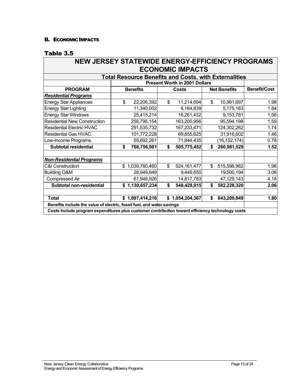#### <span id="page-14-0"></span>B. ECONOMIC IMPACTS

| NEW JERSEY STATEWIDE ENERGY-EFFICIENCY PROGRAMS                                                  |                   |                                      |                     |                     |  |  |  |  |  |  |  |  |
|--------------------------------------------------------------------------------------------------|-------------------|--------------------------------------|---------------------|---------------------|--|--|--|--|--|--|--|--|
| <b>ECONOMIC IMPACTS</b>                                                                          |                   |                                      |                     |                     |  |  |  |  |  |  |  |  |
| <b>Total Resource Benefits and Costs, with Externalities</b>                                     |                   |                                      |                     |                     |  |  |  |  |  |  |  |  |
|                                                                                                  |                   | <b>Present Worth in 2001 Dollars</b> |                     |                     |  |  |  |  |  |  |  |  |
| <b>PROGRAM</b>                                                                                   | <b>Benefits</b>   | Costs                                | <b>Net Benefits</b> | <b>Benefit/Cost</b> |  |  |  |  |  |  |  |  |
| <b>Residential Programs</b>                                                                      |                   |                                      |                     |                     |  |  |  |  |  |  |  |  |
| <b>Energy Star Appliances</b>                                                                    | \$<br>22,206,392  | $\mathbb{S}$<br>11,214,694           | \$<br>10,991,697    | 1.98                |  |  |  |  |  |  |  |  |
| <b>Energy Star Lighting</b>                                                                      | 11,340,002        | 6,164,839                            | 5,175,163           | 1.84                |  |  |  |  |  |  |  |  |
| <b>Energy Star Windows</b>                                                                       | 25,415,214        | 16,261,432                           | 9,153,781           | 1.56                |  |  |  |  |  |  |  |  |
| <b>Residential New Construction</b>                                                              | 258,795,154       | 163,200,956                          | 95,594,198          | 1.59                |  |  |  |  |  |  |  |  |
| <b>Residential Electric HVAC</b>                                                                 | 291,535,732       | 167,233,471                          | 124,302,262         | 1.74                |  |  |  |  |  |  |  |  |
| <b>Residential Gas HVAC</b>                                                                      | 101,772,228       | 69,855,625                           | 31,916,602          | 1.46                |  |  |  |  |  |  |  |  |
| Low-Income Programs                                                                              | 55,692,261        | 71,844,435                           | (16, 152, 174)      | 0.78                |  |  |  |  |  |  |  |  |
| <b>Subtotal residential</b>                                                                      | \$<br>766,756,981 | \$<br>505,775,452                    | 260,981,529<br>\$   | 1.52                |  |  |  |  |  |  |  |  |
| <b>Non-Residential Programs</b>                                                                  |                   |                                      |                     |                     |  |  |  |  |  |  |  |  |
| <b>C&amp;I Construction</b>                                                                      | \$1,039,760,460   | $\mathbb{S}$<br>524, 161, 477        | \$<br>515,598,982   | 1.98                |  |  |  |  |  |  |  |  |
| <b>Building O&amp;M</b>                                                                          | 28,949,849        | 9,449,655                            | 19,500,194          | 3.06                |  |  |  |  |  |  |  |  |
| Compressed Air                                                                                   | 61,946,926        | 14,817,783                           | 47,129,143          | 4.18                |  |  |  |  |  |  |  |  |
| Subtotal non-residential                                                                         | \$1,130,657,234   | \$<br>548,428,915                    | 582,228,320<br>\$   | 2.06                |  |  |  |  |  |  |  |  |
| <b>Total</b>                                                                                     | \$1,897,414,216   | \$1,054,204,367                      | 843,209,849<br>\$   | 1.80                |  |  |  |  |  |  |  |  |
| Benefits include the value of electric, fossil fuel, and water savings                           |                   |                                      |                     |                     |  |  |  |  |  |  |  |  |
| Costs include program expenditures plus customer contribution toward efficiency technology costs |                   |                                      |                     |                     |  |  |  |  |  |  |  |  |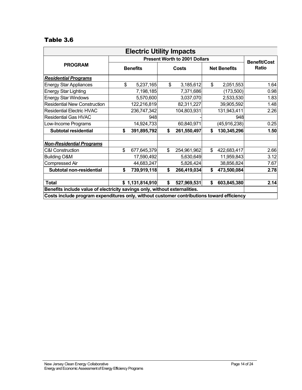| <b>Electric Utility Impacts</b>                                                           |                 |                 |              |             |                     |                |                              |  |  |  |
|-------------------------------------------------------------------------------------------|-----------------|-----------------|--------------|-------------|---------------------|----------------|------------------------------|--|--|--|
| <b>Present Worth to 2001 Dollars</b>                                                      |                 |                 |              |             |                     |                |                              |  |  |  |
| <b>PROGRAM</b>                                                                            | <b>Benefits</b> |                 | <b>Costs</b> |             | <b>Net Benefits</b> |                | <b>Benefit/Cost</b><br>Ratio |  |  |  |
| <b>Residential Programs</b>                                                               |                 |                 |              |             |                     |                |                              |  |  |  |
| <b>Energy Star Appliances</b>                                                             | \$              | 5,237,165       | \$           | 3,185,612   | \$                  | 2,051,553      | 1.64                         |  |  |  |
| <b>Energy Star Lighting</b>                                                               |                 | 7,198,185       |              | 7,371,686   |                     | (173, 500)     | 0.98                         |  |  |  |
| <b>Energy Star Windows</b>                                                                |                 | 5,570,600       |              | 3,037,070   |                     | 2,533,530      | 1.83                         |  |  |  |
| <b>Residential New Construction</b>                                                       |                 | 122,216,819     |              | 82,311,227  |                     | 39,905,592     | 1.48                         |  |  |  |
| <b>Residential Electric HVAC</b>                                                          |                 | 236,747,342     |              | 104,803,931 |                     | 131,943,411    | 2.26                         |  |  |  |
| <b>Residential Gas HVAC</b>                                                               |                 | 948             |              |             |                     | 948            |                              |  |  |  |
| Low-Income Programs                                                                       |                 | 14,924,733      |              | 60,840,971  |                     | (45, 916, 238) | 0.25                         |  |  |  |
| <b>Subtotal residential</b>                                                               | \$              | 391,895,792     | \$           | 261,550,497 | \$                  | 130,345,296    | 1.50                         |  |  |  |
| <b>Non-Residential Programs</b>                                                           |                 |                 |              |             |                     |                |                              |  |  |  |
| <b>C&amp;I Construction</b>                                                               | \$              | 677,645,379     | \$           | 254,961,962 | \$                  | 422,683,417    | 2.66                         |  |  |  |
| <b>Building O&amp;M</b>                                                                   |                 | 17,590,492      |              | 5,630,649   |                     | 11,959,843     | 3.12                         |  |  |  |
| Compressed Air                                                                            |                 | 44,683,247      |              | 5,826,424   |                     | 38,856,824     | 7.67                         |  |  |  |
| Subtotal non-residential                                                                  | \$              | 739,919,118     | \$           | 266,419,034 | \$                  | 473,500,084    | 2.78                         |  |  |  |
| <b>Total</b>                                                                              |                 | \$1,131,814,910 | \$           | 527,969,531 | \$                  | 603,845,380    | 2.14                         |  |  |  |
| Benefits include value of electricity savings only, without externalities.                |                 |                 |              |             |                     |                |                              |  |  |  |
| Costs include program expenditures only, without customer contributions toward efficiency |                 |                 |              |             |                     |                |                              |  |  |  |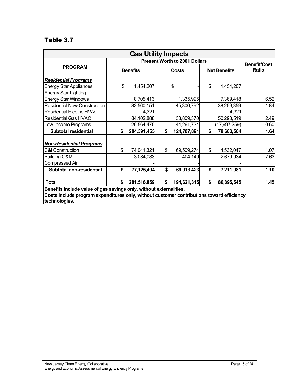| <b>Gas Utility Impacts</b>                                                                                 |                 |             |    |                                      |    |                     |                     |  |  |  |
|------------------------------------------------------------------------------------------------------------|-----------------|-------------|----|--------------------------------------|----|---------------------|---------------------|--|--|--|
|                                                                                                            |                 |             |    | <b>Present Worth to 2001 Dollars</b> |    |                     | <b>Benefit/Cost</b> |  |  |  |
| <b>PROGRAM</b>                                                                                             | <b>Benefits</b> |             |    | <b>Costs</b>                         |    | <b>Net Benefits</b> | <b>Ratio</b>        |  |  |  |
| <b>Residential Programs</b>                                                                                |                 |             |    |                                      |    |                     |                     |  |  |  |
| <b>Energy Star Appliances</b>                                                                              | \$              | 1,454,207   |    | \$                                   | \$ | 1,454,207           |                     |  |  |  |
| <b>Energy Star Lighting</b>                                                                                |                 |             |    |                                      |    |                     |                     |  |  |  |
| <b>Energy Star Windows</b>                                                                                 |                 | 8,705,413   |    | 1,335,995                            |    | 7,369,418           | 6.52                |  |  |  |
| <b>Residential New Construction</b>                                                                        |                 | 83,560,151  |    | 45,300,792                           |    | 38,259,359          | 1.84                |  |  |  |
| <b>Residential Electric HVAC</b>                                                                           |                 | 4,321       |    |                                      |    | 4,321               |                     |  |  |  |
| <b>Residential Gas HVAC</b>                                                                                |                 | 84,102,888  |    | 33,809,370                           |    | 50,293,519          | 2.49                |  |  |  |
| Low-Income Programs                                                                                        |                 | 26,564,475  |    | 44,261,734                           |    | (17,697,259)        | 0.60                |  |  |  |
| <b>Subtotal residential</b>                                                                                | \$              | 204,391,455 | \$ | 124,707,891                          | \$ | 79,683,564          | 1.64                |  |  |  |
| <b>Non-Residential Programs</b>                                                                            |                 |             |    |                                      |    |                     |                     |  |  |  |
| <b>C&amp;I Construction</b>                                                                                | \$              | 74,041,321  | \$ | 69,509,274                           | \$ | 4,532,047           | 1.07                |  |  |  |
| Building O&M                                                                                               |                 | 3,084,083   |    | 404,149                              |    | 2,679,934           | 7.63                |  |  |  |
| <b>Compressed Air</b>                                                                                      |                 |             |    |                                      |    |                     |                     |  |  |  |
| Subtotal non-residential                                                                                   | \$              | 77,125,404  | \$ | 69,913,423                           | \$ | 7,211,981           | 1.10                |  |  |  |
| <b>Total</b>                                                                                               | \$              | 281,516,859 | \$ | 194,621,315                          | \$ | 86,895,545          | 1.45                |  |  |  |
| Benefits include value of gas savings only, without externalities.                                         |                 |             |    |                                      |    |                     |                     |  |  |  |
| Costs include program expenditures only, without customer contributions toward efficiency<br>technologies. |                 |             |    |                                      |    |                     |                     |  |  |  |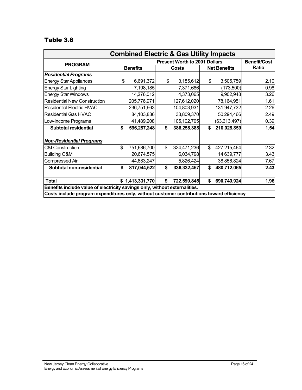| <b>Combined Electric &amp; Gas Utility Impacts</b>                                        |                                                                                                                                                 |             |       |                                      |                     |                |                     |  |  |  |  |
|-------------------------------------------------------------------------------------------|-------------------------------------------------------------------------------------------------------------------------------------------------|-------------|-------|--------------------------------------|---------------------|----------------|---------------------|--|--|--|--|
| <b>PROGRAM</b>                                                                            |                                                                                                                                                 |             |       | <b>Present Worth to 2001 Dollars</b> |                     |                | <b>Benefit/Cost</b> |  |  |  |  |
|                                                                                           | <b>Benefits</b>                                                                                                                                 |             | Costs |                                      | <b>Net Benefits</b> |                | Ratio               |  |  |  |  |
| <b>Residential Programs</b>                                                               |                                                                                                                                                 |             |       |                                      |                     |                |                     |  |  |  |  |
| <b>Energy Star Appliances</b>                                                             | \$                                                                                                                                              | 6,691,372   | \$    | 3,185,612                            | \$                  | 3,505,759      | 2.10                |  |  |  |  |
| <b>Energy Star Lighting</b>                                                               |                                                                                                                                                 | 7,198,185   |       | 7,371,686                            |                     | (173,500)      | 0.98                |  |  |  |  |
| <b>Energy Star Windows</b>                                                                |                                                                                                                                                 | 14,276,012  |       | 4,373,065                            |                     | 9,902,948      | 3.26                |  |  |  |  |
| <b>Residential New Construction</b>                                                       |                                                                                                                                                 | 205,776,971 |       | 127,612,020                          |                     | 78,164,951     | 1.61                |  |  |  |  |
| <b>Residential Electric HVAC</b>                                                          |                                                                                                                                                 | 236,751,663 |       | 104,803,931                          |                     | 131,947,732    | 2.26                |  |  |  |  |
| <b>Residential Gas HVAC</b>                                                               |                                                                                                                                                 | 84,103,836  |       | 33,809,370                           |                     | 50,294,466     | 2.49                |  |  |  |  |
| Low-Income Programs                                                                       |                                                                                                                                                 | 41,489,208  |       | 105,102,705                          |                     | (63, 613, 497) | 0.39                |  |  |  |  |
| <b>Subtotal residential</b>                                                               | \$                                                                                                                                              | 596,287,248 | \$    | 386,258,388                          | \$                  | 210,028,859    | 1.54                |  |  |  |  |
| <b>Non-Residential Programs</b>                                                           |                                                                                                                                                 |             |       |                                      |                     |                |                     |  |  |  |  |
| <b>C&amp;I Construction</b>                                                               | \$                                                                                                                                              | 751,686,700 | \$    | 324,471,236                          | \$                  | 427,215,464    | 2.32                |  |  |  |  |
| <b>Building O&amp;M</b>                                                                   |                                                                                                                                                 | 20,674,575  |       | 6,034,798                            |                     | 14,639,777     | 3.43                |  |  |  |  |
| Compressed Air                                                                            |                                                                                                                                                 | 44,683,247  |       | 5,826,424                            |                     | 38,856,824     | 7.67                |  |  |  |  |
| Subtotal non-residential                                                                  | \$                                                                                                                                              | 817,044,522 | \$    | 336, 332, 457                        | \$                  | 480,712,065    | 2.43                |  |  |  |  |
| <b>Total</b>                                                                              | \$<br>1.96<br>\$1,413,331,770<br>722,590,845<br>\$<br>690,740,924<br>Benefits include value of electricity savings only, without externalities. |             |       |                                      |                     |                |                     |  |  |  |  |
| Costs include program expenditures only, without customer contributions toward efficiency |                                                                                                                                                 |             |       |                                      |                     |                |                     |  |  |  |  |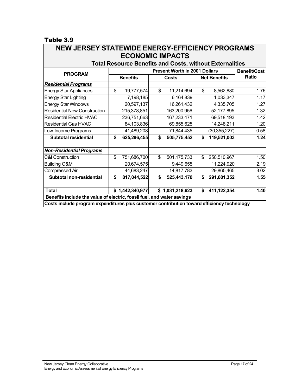| NEW JERSET STATEWIDE ENERGT-EFFICIENCT PROGRAMS<br><b>ECONOMIC IMPACTS</b>                 |    |                 |    |                 |    |                     |       |  |  |  |  |  |
|--------------------------------------------------------------------------------------------|----|-----------------|----|-----------------|----|---------------------|-------|--|--|--|--|--|
| <b>Total Resource Benefits and Costs, without Externalities</b>                            |    |                 |    |                 |    |                     |       |  |  |  |  |  |
| <b>Present Worth in 2001 Dollars</b><br><b>Benefit/Cost</b><br><b>PROGRAM</b>              |    |                 |    |                 |    |                     |       |  |  |  |  |  |
|                                                                                            |    | <b>Benefits</b> |    | Costs           |    | <b>Net Benefits</b> | Ratio |  |  |  |  |  |
| <b>Residential Programs</b>                                                                |    |                 |    |                 |    |                     |       |  |  |  |  |  |
| <b>Energy Star Appliances</b>                                                              | \$ | 19,777,574      | \$ | 11,214,694      | \$ | 8,562,880           | 1.76  |  |  |  |  |  |
| <b>Energy Star Lighting</b>                                                                |    | 7,198,185       |    | 6,164,839       |    | 1,033,347           | 1.17  |  |  |  |  |  |
| <b>Energy Star Windows</b>                                                                 |    | 20,597,137      |    | 16,261,432      |    | 4,335,705           | 1.27  |  |  |  |  |  |
| <b>Residential New Construction</b>                                                        |    | 215,378,851     |    | 163,200,956     |    | 52,177,895          | 1.32  |  |  |  |  |  |
| <b>Residential Electric HVAC</b>                                                           |    | 236,751,663     |    | 167,233,471     |    | 69,518,193          | 1.42  |  |  |  |  |  |
| <b>Residential Gas HVAC</b>                                                                |    | 84,103,836      |    | 69,855,625      |    | 14,248,211          | 1.20  |  |  |  |  |  |
| Low-Income Programs                                                                        |    | 41,489,208      |    | 71,844,435      |    | (30, 355, 227)      | 0.58  |  |  |  |  |  |
| <b>Subtotal residential</b>                                                                | \$ | 625,296,455     | \$ | 505,775,452     | \$ | 119,521,003         | 1.24  |  |  |  |  |  |
| <b>Non-Residential Programs</b>                                                            |    |                 |    |                 |    |                     |       |  |  |  |  |  |
| <b>C&amp;I Construction</b>                                                                | \$ | 751,686,700     | \$ | 501,175,733     | \$ | 250,510,967         | 1.50  |  |  |  |  |  |
| <b>Building O&amp;M</b>                                                                    |    | 20,674,575      |    | 9,449,655       |    | 11,224,920          | 2.19  |  |  |  |  |  |
| Compressed Air                                                                             |    | 44,683,247      |    | 14,817,783      |    | 29,865,465          | 3.02  |  |  |  |  |  |
| Subtotal non-residential                                                                   | \$ | 817,044,522     | \$ | 525,443,170     | \$ | 291,601,352         | 1.55  |  |  |  |  |  |
| <b>Total</b>                                                                               |    | \$1,442,340,977 |    | \$1,031,218,623 | \$ | 411,122,354         | 1.40  |  |  |  |  |  |
| Benefits include the value of electric, fossil fuel, and water savings                     |    |                 |    |                 |    |                     |       |  |  |  |  |  |
| Costs include program expenditures plus customer contribution toward efficiency technology |    |                 |    |                 |    |                     |       |  |  |  |  |  |

# **NEW JERSEY STATEWIDE ENERGY-EFFICIENCY PROGRAMS**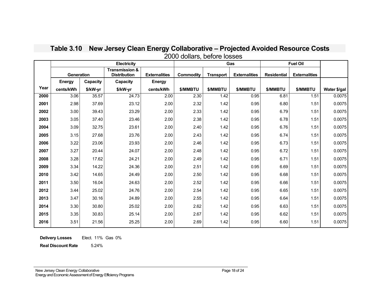|      |                   |          | <b>Electricity</b>                               |                      |                 |                  | Gas                  | <b>Fuel Oil</b>    |                      |              |
|------|-------------------|----------|--------------------------------------------------|----------------------|-----------------|------------------|----------------------|--------------------|----------------------|--------------|
|      | <b>Generation</b> |          | <b>Transmission &amp;</b><br><b>Distribution</b> | <b>Externalities</b> | Commodity       | <b>Transport</b> | <b>Externalities</b> | <b>Residential</b> | <b>Externalities</b> |              |
|      | <b>Energy</b>     | Capacity | Capacity                                         | <b>Energy</b>        |                 |                  |                      |                    |                      |              |
| Year | cents/kWh         | \$/kW-yr | \$/kW-yr                                         | cents/kWh            | <b>\$/MMBTU</b> | <b>\$/MMBTU</b>  | <b>\$/MMBTU</b>      | \$/MMBTU           | <b>\$/MMBTU</b>      | Water \$/gal |
| 2000 | 3.06              | 35.57    | 24.73                                            | 2.00                 | 2.30            | 1.42             | 0.95                 | 6.81               | 1.51                 | 0.0075       |
| 2001 | 2.98              | 37.69    | 23.12                                            | 2.00                 | 2.32            | 1.42             | 0.95                 | 6.80               | 1.51                 | 0.0075       |
| 2002 | 3.00              | 39.43    | 23.29                                            | 2.00                 | 2.33            | 1.42             | 0.95                 | 6.79               | 1.51                 | 0.0075       |
| 2003 | 3.05              | 37.40    | 23.46                                            | 2.00                 | 2.38            | 1.42             | 0.95                 | 6.78               | 1.51                 | 0.0075       |
| 2004 | 3.09              | 32.75    | 23.61                                            | 2.00                 | 2.40            | 1.42             | 0.95                 | 6.76               | 1.51                 | 0.0075       |
| 2005 | 3.15              | 27.68    | 23.76                                            | 2.00                 | 2.43            | 1.42             | 0.95                 | 6.74               | 1.51                 | 0.0075       |
| 2006 | 3.22              | 23.06    | 23.93                                            | 2.00                 | 2.46            | 1.42             | 0.95                 | 6.73               | 1.51                 | 0.0075       |
| 2007 | 3.27              | 20.44    | 24.07                                            | 2.00                 | 2.48            | 1.42             | 0.95                 | 6.72               | 1.51                 | 0.0075       |
| 2008 | 3.28              | 17.62    | 24.21                                            | 2.00                 | 2.49            | 1.42             | 0.95                 | 6.71               | 1.51                 | 0.0075       |
| 2009 | 3.34              | 14.22    | 24.36                                            | 2.00                 | 2.51            | 1.42             | 0.95                 | 6.69               | 1.51                 | 0.0075       |
| 2010 | 3.42              | 14.65    | 24.49                                            | 2.00                 | 2.50            | 1.42             | 0.95                 | 6.68               | 1.51                 | 0.0075       |
| 2011 | 3.50              | 16.04    | 24.63                                            | 2.00                 | 2.52            | 1.42             | 0.95                 | 6.66               | 1.51                 | 0.0075       |
| 2012 | 3.44              | 25.02    | 24.76                                            | 2.00                 | 2.54            | 1.42             | 0.95                 | 6.65               | 1.51                 | 0.0075       |
| 2013 | 3.47              | 30.16    | 24.89                                            | 2.00                 | 2.55            | 1.42             | 0.95                 | 6.64               | 1.51                 | 0.0075       |
| 2014 | 3.30              | 30.80    | 25.02                                            | 2.00                 | 2.62            | 1.42             | 0.95                 | 6.63               | 1.51                 | 0.0075       |
| 2015 | 3.35              | 30.83    | 25.14                                            | 2.00                 | 2.67            | 1.42             | 0.95                 | 6.62               | 1.51                 | 0.0075       |
| 2016 | 3.51              | 21.56    | 25.25                                            | 2.00                 | 2.69            | 1.42             | 0.95                 | 6.60               | 1.51                 | 0.0075       |

# **Table 3.10 New Jersey Clean Energy Collaborative – Projected Avoided Resource Costs** 2000 dollars, before losses

**Delivery Losses** Elect. 11% Gas 0%

**Real Discount Rate** 5.24%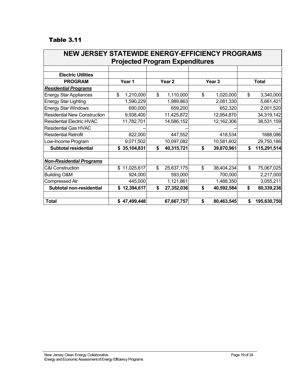| <b>NEW JERSEY STATEWIDE ENERGY-EFFICIENCY PROGRAMS</b> |                                       |                   |                   |                   |  |  |  |  |  |  |  |  |  |
|--------------------------------------------------------|---------------------------------------|-------------------|-------------------|-------------------|--|--|--|--|--|--|--|--|--|
|                                                        | <b>Projected Program Expenditures</b> |                   |                   |                   |  |  |  |  |  |  |  |  |  |
|                                                        |                                       |                   |                   |                   |  |  |  |  |  |  |  |  |  |
| <b>Electric Utilities</b>                              |                                       |                   |                   |                   |  |  |  |  |  |  |  |  |  |
| <b>PROGRAM</b>                                         | Year 1                                | Year <sub>2</sub> | Year <sub>3</sub> | <b>Total</b>      |  |  |  |  |  |  |  |  |  |
| <b>Residential Programs</b>                            |                                       |                   |                   |                   |  |  |  |  |  |  |  |  |  |
| <b>Energy Star Appliances</b>                          | \$<br>1,210,000                       | \$<br>1,110,000   | \$<br>1,020,000   | 3,340,000<br>\$   |  |  |  |  |  |  |  |  |  |
| <b>Energy Star Lighting</b>                            | 1,590,229                             | 1,989,863         | 2,081,330         | 5,661,421         |  |  |  |  |  |  |  |  |  |
| <b>Energy Star Windows</b>                             | 690,000                               | 659,200           | 652,320           | 2,001,520         |  |  |  |  |  |  |  |  |  |
| <b>Residential New Construction</b>                    | 9,938,400                             | 11,425,872        | 12,954,870        | 34,319,142        |  |  |  |  |  |  |  |  |  |
| <b>Residential Electric HVAC</b>                       | 11,782,701                            | 14,586,152        | 12,162,306        | 38,531,159        |  |  |  |  |  |  |  |  |  |
| <b>Residential Gas HVAC</b>                            |                                       |                   |                   |                   |  |  |  |  |  |  |  |  |  |
| <b>Residential Retrofit</b>                            | 822,000                               | 447,552           | 418,534           | 1688,086          |  |  |  |  |  |  |  |  |  |
| Low-Income Program                                     | 9,071,502                             | 10,097,082        | 10,581,602        | 29,750,186        |  |  |  |  |  |  |  |  |  |
| <b>Subtotal residential</b>                            | 35,104,831<br>\$                      | \$<br>40,315,721  | \$<br>39,870,961  | 115,291,514<br>\$ |  |  |  |  |  |  |  |  |  |
| <b>Non-Residential Programs</b>                        |                                       |                   |                   |                   |  |  |  |  |  |  |  |  |  |
| <b>C&amp;I Construction</b>                            | 11,025,617<br>\$                      | 25,637,175<br>\$  | \$<br>38,404,234  | \$<br>75,067,025  |  |  |  |  |  |  |  |  |  |
| <b>Building O&amp;M</b>                                | 924,000                               | 593,000           | 700,000           | 2,217,000         |  |  |  |  |  |  |  |  |  |
| Compressed Air                                         | 445,000                               | 1,121,861         | 1,488,350         | 3,055,211         |  |  |  |  |  |  |  |  |  |
| Subtotal non-residential                               | 12,394,617<br>\$                      | 27,352,036<br>\$  | 40,592,584<br>\$  | \$<br>80,339,236  |  |  |  |  |  |  |  |  |  |
| <b>Total</b>                                           | \$47,499,448                          | 67,667,757        | \$<br>80,463,545  | \$<br>195,630,750 |  |  |  |  |  |  |  |  |  |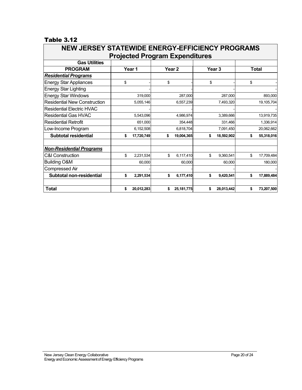| <b>NEW JERSEY STATEWIDE ENERGY-EFFICIENCY PROGRAMS</b> |        |            |                                       |    |            |    |              |  |
|--------------------------------------------------------|--------|------------|---------------------------------------|----|------------|----|--------------|--|
|                                                        |        |            | <b>Projected Program Expenditures</b> |    |            |    |              |  |
| <b>Gas Utilities</b>                                   |        |            |                                       |    |            |    |              |  |
| <b>PROGRAM</b>                                         | Year 1 |            | Year <sub>2</sub>                     |    | Year 3     |    | <b>Total</b> |  |
| <b>Residential Programs</b>                            |        |            |                                       |    |            |    |              |  |
| <b>Energy Star Appliances</b>                          | \$     |            | \$                                    | \$ |            | \$ |              |  |
| <b>Energy Star Lighting</b>                            |        |            |                                       |    |            |    |              |  |
| <b>Energy Star Windows</b>                             |        | 319,000    | 287,000                               |    | 287,000    |    | 893,000      |  |
| <b>Residential New Construction</b>                    |        | 5,055,146  | 6,557,239                             |    | 7,493,320  |    | 19,105,704   |  |
| <b>Residential Electric HVAC</b>                       |        |            |                                       |    |            |    |              |  |
| <b>Residential Gas HVAC</b>                            |        | 5.543.096  | 4.986.974                             |    | 3.389.666  |    | 13,919,735   |  |
| <b>Residential Retrofit</b>                            |        | 651,000    | 354,448                               |    | 331,466    |    | 1,336,914    |  |
| Low-Income Program                                     |        | 6,152,508  | 6,818,704                             |    | 7,091,450  |    | 20,062,662   |  |
| <b>Subtotal residential</b>                            | \$     | 17,720,749 | \$<br>19,004,365                      | \$ | 18,592,902 | \$ | 55,318,016   |  |
| <b>Non-Residential Programs</b>                        |        |            |                                       |    |            |    |              |  |
| <b>C&amp;I Construction</b>                            | \$     | 2,231,534  | \$<br>6,117,410                       | \$ | 9.360.541  | \$ | 17,709,484   |  |
| <b>Building O&amp;M</b>                                |        | 60,000     | 60,000                                |    | 60,000     |    | 180,000      |  |
| Compressed Air                                         |        |            |                                       |    |            |    |              |  |
| Subtotal non-residential                               | \$     | 2,291,534  | \$<br>6,177,410                       | \$ | 9,420,541  | \$ | 17,889,484   |  |
| <b>Total</b>                                           | \$     | 20,012,283 | \$<br>25, 181, 775                    | \$ | 28,013,442 | \$ | 73,207,500   |  |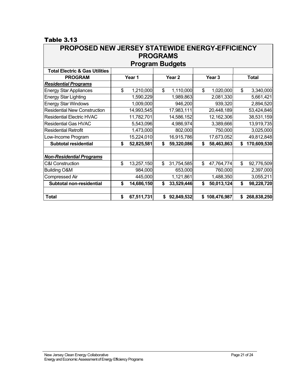#### $Table 3.13\n**DDOD**$  $\sqrt{2}$

| PROPOSED NEW JERSET STATEWIDE ENERGT-EFFIGIENGT<br><b>PROGRAMS</b> |        |            |                   |            |                   |             |              |             |
|--------------------------------------------------------------------|--------|------------|-------------------|------------|-------------------|-------------|--------------|-------------|
| <b>Program Budgets</b>                                             |        |            |                   |            |                   |             |              |             |
| <b>Total Electric &amp; Gas Utilities</b>                          |        |            |                   |            |                   |             |              |             |
| <b>PROGRAM</b>                                                     | Year 1 |            | Year <sub>2</sub> |            | Year <sub>3</sub> |             | <b>Total</b> |             |
| <b>Residential Programs</b>                                        |        |            |                   |            |                   |             |              |             |
| <b>Energy Star Appliances</b>                                      | \$     | 1,210,000  | \$                | 1,110,000  | \$                | 1,020,000   | \$           | 3,340,000   |
| <b>Energy Star Lighting</b>                                        |        | 1,590,229  |                   | 1,989,863  |                   | 2,081,330   |              | 5,661,421   |
| <b>Energy Star Windows</b>                                         |        | 1,009,000  |                   | 946,200    |                   | 939,320     |              | 2,894,520   |
| <b>Residential New Construction</b>                                |        | 14,993,545 |                   | 17,983,111 |                   | 20,448,189  |              | 53,424,846  |
| <b>Residential Electric HVAC</b>                                   |        | 11,782,701 |                   | 14,586,152 |                   | 12,162,306  |              | 38,531,159  |
| <b>Residential Gas HVAC</b>                                        |        | 5,543,096  |                   | 4,986,974  |                   | 3,389,666   |              | 13,919,735  |
| <b>Residential Retrofit</b>                                        |        | 1,473,000  |                   | 802,000    |                   | 750,000     |              | 3,025,000   |
| Low-Income Program                                                 |        | 15,224,010 |                   | 16,915,786 |                   | 17,673,052  |              | 49,812,848  |
| <b>Subtotal residential</b>                                        | \$     | 52,825,581 | \$                | 59,320,086 | \$                | 58,463,863  | \$           | 170,609,530 |
| <b>Non-Residential Programs</b>                                    |        |            |                   |            |                   |             |              |             |
| <b>C&amp;I Construction</b>                                        | \$     | 13,257,150 | \$                | 31,754,585 | \$                | 47,764,774  | \$           | 92,776,509  |
| <b>Building O&amp;M</b>                                            |        | 984,000    |                   | 653,000    |                   | 760,000     |              | 2,397,000   |
| <b>Compressed Air</b>                                              |        | 445,000    |                   | 1,121,861  |                   | 1,488,350   |              | 3,055,211   |
| Subtotal non-residential                                           | \$     | 14,686,150 | \$                | 33,529,446 | \$                | 50,013,124  | \$           | 98,228,720  |
| <b>Total</b>                                                       | \$     | 67,511,731 | \$                | 92,849,532 | \$                | 108,476,987 | \$           | 268,838,250 |

# **NEW JEDSEY STATEWINE ENERGY EFFICIENCY**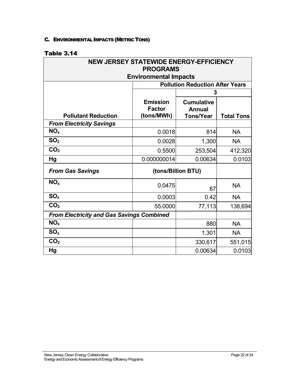#### <span id="page-23-0"></span>C. ENVIRONMENTAL IMPACTS (METRIC TONS)

| <b>NEW JERSEY STATEWIDE ENERGY-EFFICIENCY</b><br><b>PROGRAMS</b> |                                        |                    |                   |  |  |  |  |
|------------------------------------------------------------------|----------------------------------------|--------------------|-------------------|--|--|--|--|
| <b>Environmental Impacts</b>                                     |                                        |                    |                   |  |  |  |  |
|                                                                  | <b>Pollution Reduction After Years</b> |                    |                   |  |  |  |  |
|                                                                  |                                        | 3                  |                   |  |  |  |  |
|                                                                  | <b>Emission</b>                        | <b>Cumulative</b>  |                   |  |  |  |  |
|                                                                  | <b>Factor</b>                          | <b>Annual</b>      |                   |  |  |  |  |
| <b>Pollutant Reduction</b>                                       | (tons/MWh)                             | <b>Tons/Year</b>   | <b>Total Tons</b> |  |  |  |  |
| <b>From Electricity Savings</b>                                  |                                        |                    |                   |  |  |  |  |
| NO <sub>x</sub>                                                  | 0.0018                                 | 814                | <b>NA</b>         |  |  |  |  |
| SO <sub>2</sub>                                                  | 0.0028                                 | 1,300              | <b>NA</b>         |  |  |  |  |
| CO <sub>2</sub>                                                  | 0.5500                                 | 253,504            | 412,320           |  |  |  |  |
| Hg                                                               | 0.000000014                            | 0.00634            | 0.0103            |  |  |  |  |
| <b>From Gas Savings</b>                                          |                                        | (tons/Billion BTU) |                   |  |  |  |  |
| NO <sub>x</sub>                                                  | 0.0475                                 | 67                 | <b>NA</b>         |  |  |  |  |
| SO <sub>x</sub>                                                  | 0.0003                                 | 0.42               | <b>NA</b>         |  |  |  |  |
| CO <sub>2</sub>                                                  | 55.0000                                | 77,113             | 138,694           |  |  |  |  |
| <b>From Electricity and Gas Savings Combined</b>                 |                                        |                    |                   |  |  |  |  |
| NO <sub>x</sub>                                                  |                                        | 880                | <b>NA</b>         |  |  |  |  |
| SO <sub>x</sub>                                                  |                                        | 1,301              | <b>NA</b>         |  |  |  |  |
| CO <sub>2</sub>                                                  |                                        | 330,617            | 551,015           |  |  |  |  |
| Hg                                                               |                                        | 0.00634            | 0.0103            |  |  |  |  |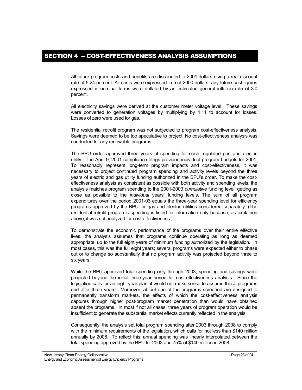<span id="page-24-0"></span>All future program costs and benefits are discounted to 2001 dollars using a real discount rate of 5.24 percent. All costs were expressed in real 2000 dollars; any future cost figures expressed in nominal terms were deflated by an estimated general inflation rate of 3.0 percent.

All electricity savings were derived at the customer meter voltage level. These savings were converted to generation voltages by multiplying by 1.11 to account for losses. Losses of zero were used for gas.

The residential retrofit program was not subjected to program cost-effectiveness analysis. Savings were deemed to be too speculative to project. No cost-effectiveness analysis was conducted for any renewable programs.

The BPU order approved three years of spending for each regulated gas and electric utility. The April 9, 2001 compliance filings provided individual program budgets for 2001. To reasonably represent long-term program impacts and cost-effectiveness, it was necessary to project continued program spending and activity levels beyond the three years of electric and gas utility funding authorized in the BPU's order. To make the costeffectiveness analysis as consistent as possible with both activity and spending levels, the analysis matches program spending to the 2001-2003 *cumulative* funding level, getting as close as possible to the *individual* years' funding levels. The sum of all program expenditures over the period 2001-03 equals the three-year spending level for efficiency programs approved by the BPU for gas and electric utilities considered separately. (The residential retrofit program's spending is listed for information only because, as explained above, it was not analyzed for cost-effectiveness.)

To demonstrate the economic performance of the programs over their entire effective lives, the analysis assumes that programs continue operating as long as deemed appropriate, up to the full eight years of minimum funding authorized by the legislation. In most cases, this was the full eight years; several programs were expected either to phase out or to change so substantially that no program activity was projected beyond three to six years.

While the BPU approved total spending only through 2003, spending and savings were projected beyond the initial three-year period for cost-effectiveness analysis. Since the legislation calls for an eight-year plan, it would not make sense to assume these programs end after three years. Moreover, all but one of the programs screened are designed to permanently transform markets, the effects of which the cost-effectiveness analysis captures through higher post-program market penetration than would have obtained absent the programs. In most if not all cases, three years of program operation would be insufficient to generate the substantial market effects currently reflected in the analysis.

Consequently, the analysis set total program spending after 2003 through 2008 to comply with the minimum requirements of the legislation, which calls for not less than \$140 million annually by 2008. To reflect this, annual spending was linearly interpolated between the total spending approved by the BPU for 2003 and 75% of \$140 million in 2008.